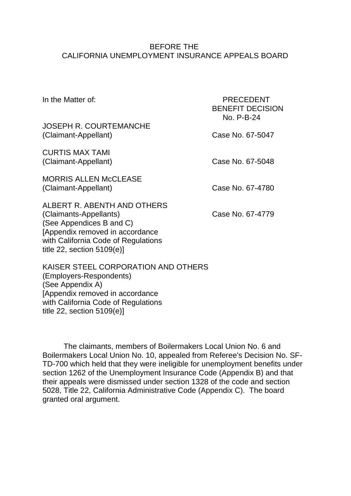### BEFORE THE CALIFORNIA UNEMPLOYMENT INSURANCE APPEALS BOARD

| In the Matter of:                                                                                                                                                                             | <b>PRECEDENT</b><br><b>BENEFIT DECISION</b><br>No. P-B-24 |
|-----------------------------------------------------------------------------------------------------------------------------------------------------------------------------------------------|-----------------------------------------------------------|
| <b>JOSEPH R. COURTEMANCHE</b><br>(Claimant-Appellant)                                                                                                                                         | Case No. 67-5047                                          |
| <b>CURTIS MAX TAMI</b><br>(Claimant-Appellant)                                                                                                                                                | Case No. 67-5048                                          |
| <b>MORRIS ALLEN McCLEASE</b><br>(Claimant-Appellant)                                                                                                                                          | Case No. 67-4780                                          |
| ALBERT R. ABENTH AND OTHERS<br>(Claimants-Appellants)<br>(See Appendices B and C)<br>[Appendix removed in accordance]<br>with California Code of Regulations<br>title 22, section $5109(e)$ ] | Case No. 67-4779                                          |
| KAIOED OTEEL OODDODATION AND OTHEDO                                                                                                                                                           |                                                           |

KAISER STEEL CORPORATION AND OTHERS (Employers-Respondents) (See Appendix A) [Appendix removed in accordance with California Code of Regulations title 22, section 5109(e)]

The claimants, members of Boilermakers Local Union No. 6 and Boilermakers Local Union No. 10, appealed from Referee's Decision No. SF-TD-700 which held that they were ineligible for unemployment benefits under section 1262 of the Unemployment Insurance Code (Appendix B) and that their appeals were dismissed under section 1328 of the code and section 5028, Title 22, California Administrative Code (Appendix C). The board granted oral argument.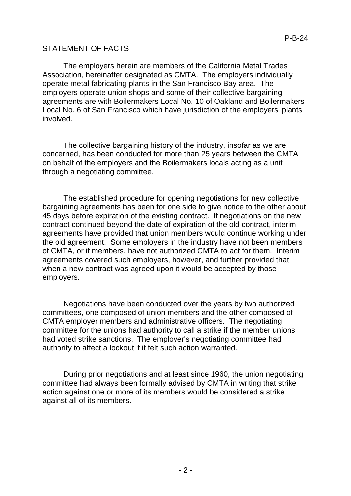# STATEMENT OF FACTS

The employers herein are members of the California Metal Trades Association, hereinafter designated as CMTA. The employers individually operate metal fabricating plants in the San Francisco Bay area. The employers operate union shops and some of their collective bargaining agreements are with Boilermakers Local No. 10 of Oakland and Boilermakers Local No. 6 of San Francisco which have jurisdiction of the employers' plants involved.

The collective bargaining history of the industry, insofar as we are concerned, has been conducted for more than 25 years between the CMTA on behalf of the employers and the Boilermakers locals acting as a unit through a negotiating committee.

The established procedure for opening negotiations for new collective bargaining agreements has been for one side to give notice to the other about 45 days before expiration of the existing contract. If negotiations on the new contract continued beyond the date of expiration of the old contract, interim agreements have provided that union members would continue working under the old agreement. Some employers in the industry have not been members of CMTA, or if members, have not authorized CMTA to act for them. Interim agreements covered such employers, however, and further provided that when a new contract was agreed upon it would be accepted by those employers.

Negotiations have been conducted over the years by two authorized committees, one composed of union members and the other composed of CMTA employer members and administrative officers. The negotiating committee for the unions had authority to call a strike if the member unions had voted strike sanctions. The employer's negotiating committee had authority to affect a lockout if it felt such action warranted.

During prior negotiations and at least since 1960, the union negotiating committee had always been formally advised by CMTA in writing that strike action against one or more of its members would be considered a strike against all of its members.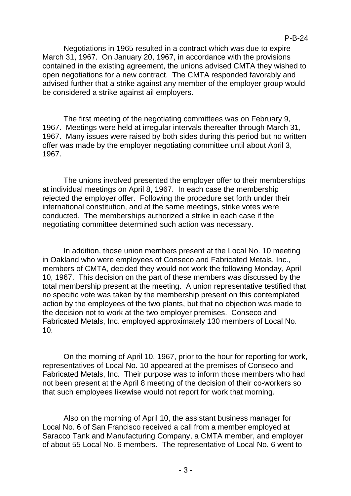Negotiations in 1965 resulted in a contract which was due to expire March 31, 1967. On January 20, 1967, in accordance with the provisions contained in the existing agreement, the unions advised CMTA they wished to open negotiations for a new contract. The CMTA responded favorably and advised further that a strike against any member of the employer group would be considered a strike against ail employers.

The first meeting of the negotiating committees was on February 9, 1967. Meetings were held at irregular intervals thereafter through March 31, 1967. Many issues were raised by both sides during this period but no written offer was made by the employer negotiating committee until about April 3, 1967.

The unions involved presented the employer offer to their memberships at individual meetings on April 8, 1967. In each case the membership rejected the employer offer. Following the procedure set forth under their international constitution, and at the same meetings, strike votes were conducted. The memberships authorized a strike in each case if the negotiating committee determined such action was necessary.

In addition, those union members present at the Local No. 10 meeting in Oakland who were employees of Conseco and Fabricated Metals, Inc., members of CMTA, decided they would not work the following Monday, April 10, 1967. This decision on the part of these members was discussed by the total membership present at the meeting. A union representative testified that no specific vote was taken by the membership present on this contemplated action by the employees of the two plants, but that no objection was made to the decision not to work at the two employer premises. Conseco and Fabricated Metals, Inc. employed approximately 130 members of Local No. 10.

On the morning of April 10, 1967, prior to the hour for reporting for work, representatives of Local No. 10 appeared at the premises of Conseco and Fabricated Metals, Inc. Their purpose was to inform those members who had not been present at the April 8 meeting of the decision of their co-workers so that such employees likewise would not report for work that morning.

Also on the morning of April 10, the assistant business manager for Local No. 6 of San Francisco received a call from a member employed at Saracco Tank and Manufacturing Company, a CMTA member, and employer of about 55 Local No. 6 members. The representative of Local No. 6 went to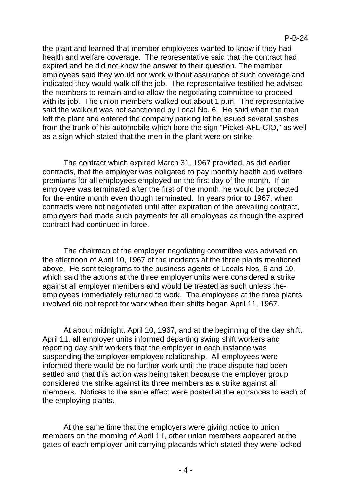the plant and learned that member employees wanted to know if they had health and welfare coverage. The representative said that the contract had expired and he did not know the answer to their question. The member employees said they would not work without assurance of such coverage and indicated they would walk off the job. The representative testified he advised the members to remain and to allow the negotiating committee to proceed with its job. The union members walked out about 1 p.m. The representative said the walkout was not sanctioned by Local No. 6. He said when the men left the plant and entered the company parking lot he issued several sashes from the trunk of his automobile which bore the sign "Picket-AFL-CIO," as well as a sign which stated that the men in the plant were on strike.

The contract which expired March 31, 1967 provided, as did earlier contracts, that the employer was obligated to pay monthly health and welfare premiums for all employees employed on the first day of the month. If an employee was terminated after the first of the month, he would be protected for the entire month even though terminated. In years prior to 1967, when contracts were not negotiated until after expiration of the prevailing contract, employers had made such payments for all employees as though the expired contract had continued in force.

The chairman of the employer negotiating committee was advised on the afternoon of April 10, 1967 of the incidents at the three plants mentioned above. He sent telegrams to the business agents of Locals Nos. 6 and 10, which said the actions at the three employer units were considered a strike against all employer members and would be treated as such unless theemployees immediately returned to work. The employees at the three plants involved did not report for work when their shifts began April 11, 1967.

At about midnight, April 10, 1967, and at the beginning of the day shift, April 11, all employer units informed departing swing shift workers and reporting day shift workers that the employer in each instance was suspending the employer-employee relationship. All employees were informed there would be no further work until the trade dispute had been settled and that this action was being taken because the employer group considered the strike against its three members as a strike against all members. Notices to the same effect were posted at the entrances to each of the employing plants.

At the same time that the employers were giving notice to union members on the morning of April 11, other union members appeared at the gates of each employer unit carrying placards which stated they were locked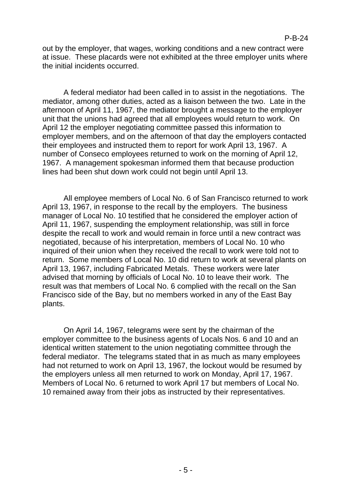#### P-B-24

out by the employer, that wages, working conditions and a new contract were at issue. These placards were not exhibited at the three employer units where the initial incidents occurred.

A federal mediator had been called in to assist in the negotiations. The mediator, among other duties, acted as a liaison between the two. Late in the afternoon of April 11, 1967, the mediator brought a message to the employer unit that the unions had agreed that all employees would return to work. On April 12 the employer negotiating committee passed this information to employer members, and on the afternoon of that day the employers contacted their employees and instructed them to report for work April 13, 1967. A number of Conseco employees returned to work on the morning of April 12, 1967. A management spokesman informed them that because production lines had been shut down work could not begin until April 13.

All employee members of Local No. 6 of San Francisco returned to work April 13, 1967, in response to the recall by the employers. The business manager of Local No. 10 testified that he considered the employer action of April 11, 1967, suspending the employment relationship, was still in force despite the recall to work and would remain in force until a new contract was negotiated, because of his interpretation, members of Local No. 10 who inquired of their union when they received the recall to work were told not to return. Some members of Local No. 10 did return to work at several plants on April 13, 1967, including Fabricated Metals. These workers were later advised that morning by officials of Local No. 10 to leave their work. The result was that members of Local No. 6 complied with the recall on the San Francisco side of the Bay, but no members worked in any of the East Bay plants.

On April 14, 1967, telegrams were sent by the chairman of the employer committee to the business agents of Locals Nos. 6 and 10 and an identical written statement to the union negotiating committee through the federal mediator. The telegrams stated that in as much as many employees had not returned to work on April 13, 1967, the lockout would be resumed by the employers unless all men returned to work on Monday, April 17, 1967. Members of Local No. 6 returned to work April 17 but members of Local No. 10 remained away from their jobs as instructed by their representatives.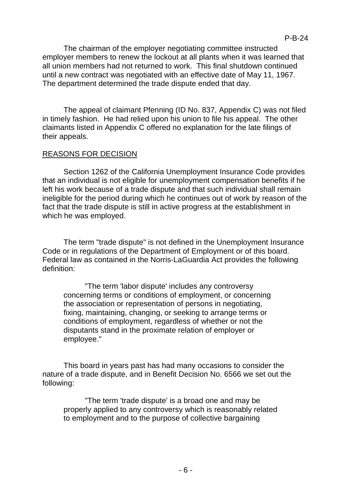The chairman of the employer negotiating committee instructed employer members to renew the lockout at all plants when it was learned that all union members had not returned to work. This final shutdown continued until a new contract was negotiated with an effective date of May 11, 1967.

P-B-24

The department determined the trade dispute ended that day.

The appeal of claimant Pfenning (ID No. 837, Appendix C) was not filed in timely fashion. He had relied upon his union to file his appeal. The other claimants listed in Appendix C offered no explanation for the late filings of their appeals.

## REASONS FOR DECISION

Section 1262 of the California Unemployment Insurance Code provides that an individual is not eligible for unemployment compensation benefits if he left his work because of a trade dispute and that such individual shall remain ineligible for the period during which he continues out of work by reason of the fact that the trade dispute is still in active progress at the establishment in which he was employed.

The term "trade dispute" is not defined in the Unemployment Insurance Code or in regulations of the Department of Employment or of this board. Federal law as contained in the Norris-LaGuardia Act provides the following definition:

"The term 'labor dispute' includes any controversy concerning terms or conditions of employment, or concerning the association or representation of persons in negotiating, fixing, maintaining, changing, or seeking to arrange terms or conditions of employment, regardless of whether or not the disputants stand in the proximate relation of employer or employee."

This board in years past has had many occasions to consider the nature of a trade dispute, and in Benefit Decision No. 6566 we set out the following:

"The term 'trade dispute' is a broad one and may be properly applied to any controversy which is reasonably related to employment and to the purpose of collective bargaining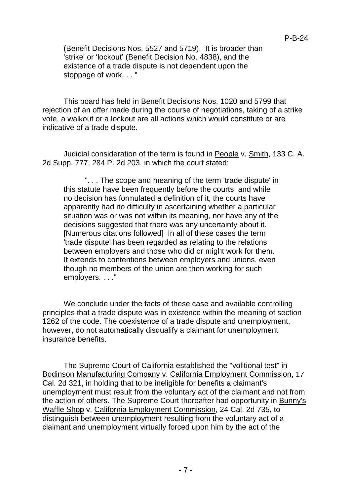(Benefit Decisions Nos. 5527 and 5719). It is broader than 'strike' or 'lockout' (Benefit Decision No. 4838), and the existence of a trade dispute is not dependent upon the stoppage of work. . . "

This board has held in Benefit Decisions Nos. 1020 and 5799 that rejection of an offer made during the course of negotiations, taking of a strike vote, a walkout or a lockout are all actions which would constitute or are indicative of a trade dispute.

Judicial consideration of the term is found in People v. Smith, 133 C. A. 2d Supp. 777, 284 P. 2d 203, in which the court stated:

". . . The scope and meaning of the term 'trade dispute' in this statute have been frequently before the courts, and while no decision has formulated a definition of it, the courts have apparently had no difficulty in ascertaining whether a particular situation was or was not within its meaning, nor have any of the decisions suggested that there was any uncertainty about it. [Numerous citations followed] In all of these cases the term 'trade dispute' has been regarded as relating to the relations between employers and those who did or might work for them. It extends to contentions between employers and unions, even though no members of the union are then working for such employers. . . ."

We conclude under the facts of these case and available controlling principles that a trade dispute was in existence within the meaning of section 1262 of the code. The coexistence of a trade dispute and unemployment, however, do not automatically disqualify a claimant for unemployment insurance benefits.

The Supreme Court of California established the "volitional test" in Bodinson Manufacturing Company v. California Employment Commission, 17 Cal. 2d 321, in holding that to be ineligible for benefits a claimant's unemployment must result from the voluntary act of the claimant and not from the action of others. The Supreme Court thereafter had opportunity in Bunny's Waffle Shop v. California Employment Commission, 24 Cal. 2d 735, to distinguish between unemployment resulting from the voluntary act of a claimant and unemployment virtually forced upon him by the act of the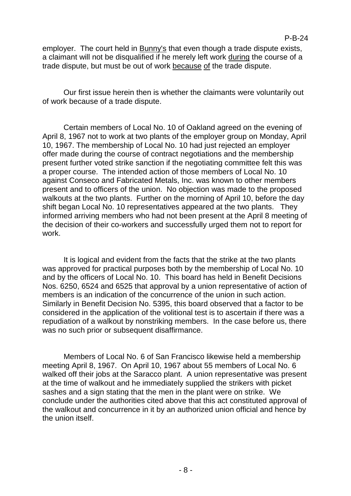employer. The court held in Bunny's that even though a trade dispute exists, a claimant will not be disqualified if he merely left work during the course of a trade dispute, but must be out of work because of the trade dispute.

Our first issue herein then is whether the claimants were voluntarily out of work because of a trade dispute.

Certain members of Local No. 10 of Oakland agreed on the evening of April 8, 1967 not to work at two plants of the employer group on Monday, April 10, 1967. The membership of Local No. 10 had just rejected an employer offer made during the course of contract negotiations and the membership present further voted strike sanction if the negotiating committee felt this was a proper course. The intended action of those members of Local No. 10 against Conseco and Fabricated Metals, Inc. was known to other members present and to officers of the union. No objection was made to the proposed walkouts at the two plants. Further on the morning of April 10, before the day shift began Local No. 10 representatives appeared at the two plants. They informed arriving members who had not been present at the April 8 meeting of the decision of their co-workers and successfully urged them not to report for work.

It is logical and evident from the facts that the strike at the two plants was approved for practical purposes both by the membership of Local No. 10 and by the officers of Local No. 10. This board has held in Benefit Decisions Nos. 6250, 6524 and 6525 that approval by a union representative of action of members is an indication of the concurrence of the union in such action. Similarly in Benefit Decision No. 5395, this board observed that a factor to be considered in the application of the volitional test is to ascertain if there was a repudiation of a walkout by nonstriking members. In the case before us, there was no such prior or subsequent disaffirmance.

Members of Local No. 6 of San Francisco likewise held a membership meeting April 8, 1967. On April 10, 1967 about 55 members of Local No. 6 walked off their jobs at the Saracco plant. A union representative was present at the time of walkout and he immediately supplied the strikers with picket sashes and a sign stating that the men in the plant were on strike. We conclude under the authorities cited above that this act constituted approval of the walkout and concurrence in it by an authorized union official and hence by the union itself.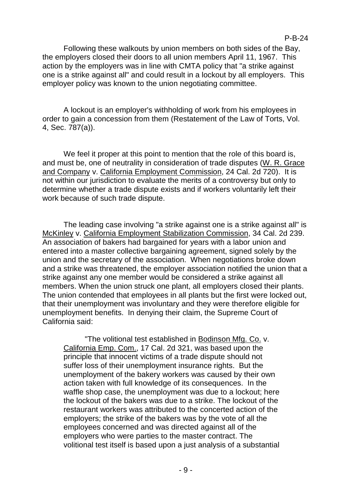P-B-24

Following these walkouts by union members on both sides of the Bay, the employers closed their doors to all union members April 11, 1967. This action by the employers was in line with CMTA policy that "a strike against one is a strike against all" and could result in a lockout by all employers. This employer policy was known to the union negotiating committee.

A lockout is an employer's withholding of work from his employees in order to gain a concession from them (Restatement of the Law of Torts, Vol. 4, Sec. 787(a)).

We feel it proper at this point to mention that the role of this board is, and must be, one of neutrality in consideration of trade disputes (W. R. Grace and Company v. California Employment Commission, 24 Cal. 2d 720). It is not within our jurisdiction to evaluate the merits of a controversy but only to determine whether a trade dispute exists and if workers voluntarily left their work because of such trade dispute.

The leading case involving "a strike against one is a strike against all" is McKinley v. California Employment Stabilization Commission, 34 Cal. 2d 239. An association of bakers had bargained for years with a labor union and entered into a master collective bargaining agreement, signed solely by the union and the secretary of the association. When negotiations broke down and a strike was threatened, the employer association notified the union that a strike against any one member would be considered a strike against all members. When the union struck one plant, all employers closed their plants. The union contended that employees in all plants but the first were locked out, that their unemployment was involuntary and they were therefore eligible for unemployment benefits. In denying their claim, the Supreme Court of California said:

"The volitional test established in Bodinson Mfg. Co. v. California Emp. Com., 17 Cal. 2d 321, was based upon the principle that innocent victims of a trade dispute should not suffer loss of their unemployment insurance rights. But the unemployment of the bakery workers was caused by their own action taken with full knowledge of its consequences. In the waffle shop case, the unemployment was due to a lockout; here the lockout of the bakers was due to a strike. The lockout of the restaurant workers was attributed to the concerted action of the employers; the strike of the bakers was by the vote of all the employees concerned and was directed against all of the employers who were parties to the master contract. The volitional test itself is based upon a just analysis of a substantial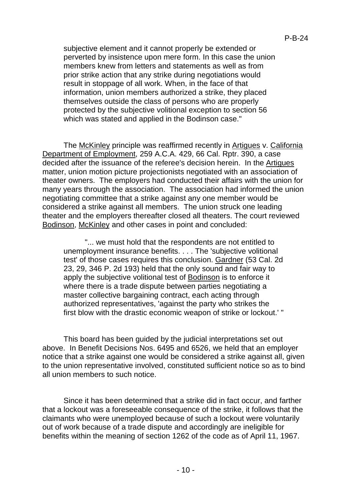subjective element and it cannot properly be extended or perverted by insistence upon mere form. In this case the union members knew from letters and statements as well as from prior strike action that any strike during negotiations would result in stoppage of all work. When, in the face of that information, union members authorized a strike, they placed themselves outside the class of persons who are properly protected by the subjective volitional exception to section 56 which was stated and applied in the Bodinson case."

The McKinley principle was reaffirmed recently in Artigues v. California Department of Employment, 259 A.C.A. 429, 66 Cal. Rptr. 390, a case decided after the issuance of the referee's decision herein. In the Artigues matter, union motion picture projectionists negotiated with an association of theater owners. The employers had conducted their affairs with the union for many years through the association. The association had informed the union negotiating committee that a strike against any one member would be considered a strike against all members. The union struck one leading theater and the employers thereafter closed all theaters. The court reviewed Bodinson, McKinley and other cases in point and concluded:

"... we must hold that the respondents are not entitled to unemployment insurance benefits. . . . The 'subjective volitional test' of those cases requires this conclusion. Gardner (53 Cal. 2d 23, 29, 346 P. 2d 193) held that the only sound and fair way to apply the subjective volitional test of Bodinson is to enforce it where there is a trade dispute between parties negotiating a master collective bargaining contract, each acting through authorized representatives, 'against the party who strikes the first blow with the drastic economic weapon of strike or lockout.' "

This board has been guided by the judicial interpretations set out above. In Benefit Decisions Nos. 6495 and 6526, we held that an employer notice that a strike against one would be considered a strike against all, given to the union representative involved, constituted sufficient notice so as to bind all union members to such notice.

Since it has been determined that a strike did in fact occur, and farther that a lockout was a foreseeable consequence of the strike, it follows that the claimants who were unemployed because of such a lockout were voluntarily out of work because of a trade dispute and accordingly are ineligible for benefits within the meaning of section 1262 of the code as of April 11, 1967.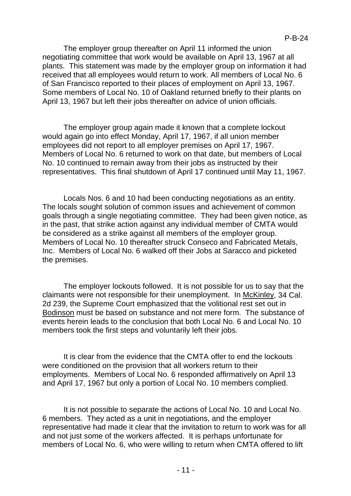The employer group thereafter on April 11 informed the union negotiating committee that work would be available on April 13, 1967 at all plants. This statement was made by the employer group on information it had received that all employees would return to work. All members of Local No. 6 of San Francisco reported to their places of employment on April 13, 1967. Some members of Local No. 10 of Oakland returned briefly to their plants on April 13, 1967 but left their jobs thereafter on advice of union officials.

The employer group again made it known that a complete lockout would again go into effect Monday, April 17, 1967, if all union member employees did not report to all employer premises on April 17, 1967. Members of Local No. 6 returned to work on that date, but members of Local No. 10 continued to remain away from their jobs as instructed by their representatives. This final shutdown of April 17 continued until May 11, 1967.

Locals Nos. 6 and 10 had been conducting negotiations as an entity. The locals sought solution of common issues and achievement of common goals through a single negotiating committee. They had been given notice, as in the past, that strike action against any individual member of CMTA would be considered as a strike against all members of the employer group. Members of Local No. 10 thereafter struck Conseco and Fabricated Metals, Inc. Members of Local No. 6 walked off their Jobs at Saracco and picketed the premises.

The employer lockouts followed. It is not possible for us to say that the claimants were not responsible for their unemployment. In McKinley, 34 Cal. 2d 239, the Supreme Court emphasized that the volitional rest set out in Bodinson must be based on substance and not mere form. The substance of events herein leads to the conclusion that both Local No. 6 and Local No. 10 members took the first steps and voluntarily left their jobs.

It is clear from the evidence that the CMTA offer to end the lockouts were conditioned on the provision that all workers return to their employments. Members of Local No. 6 responded affirmatively on April 13 and April 17, 1967 but only a portion of Local No. 10 members complied.

It is not possible to separate the actions of Local No. 10 and Local No. 6 members. They acted as a unit in negotiations, and the employer representative had made it clear that the invitation to return to work was for all and not just some of the workers affected. It is perhaps unfortunate for members of Local No. 6, who were willing to return when CMTA offered to lift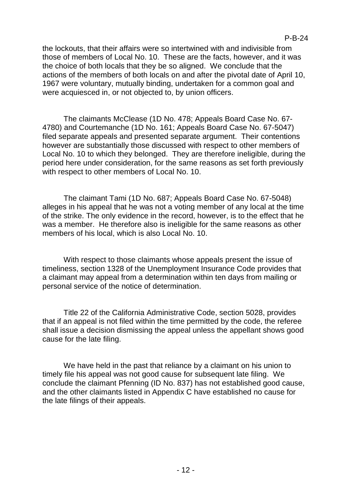the lockouts, that their affairs were so intertwined with and indivisible from those of members of Local No. 10. These are the facts, however, and it was the choice of both locals that they be so aligned. We conclude that the actions of the members of both locals on and after the pivotal date of April 10, 1967 were voluntary, mutually binding, undertaken for a common goal and were acquiesced in, or not objected to, by union officers.

The claimants McClease (1D No. 478; Appeals Board Case No. 67- 4780) and Courtemanche (1D No. 161; Appeals Board Case No. 67-5047) filed separate appeals and presented separate argument. Their contentions however are substantially those discussed with respect to other members of Local No. 10 to which they belonged. They are therefore ineligible, during the period here under consideration, for the same reasons as set forth previously with respect to other members of Local No. 10.

The claimant Tami (1D No. 687; Appeals Board Case No. 67-5048) alleges in his appeal that he was not a voting member of any local at the time of the strike. The only evidence in the record, however, is to the effect that he was a member. He therefore also is ineligible for the same reasons as other members of his local, which is also Local No. 10.

With respect to those claimants whose appeals present the issue of timeliness, section 1328 of the Unemployment Insurance Code provides that a claimant may appeal from a determination within ten days from mailing or personal service of the notice of determination.

Title 22 of the California Administrative Code, section 5028, provides that if an appeal is not filed within the time permitted by the code, the referee shall issue a decision dismissing the appeal unless the appellant shows good cause for the late filing.

We have held in the past that reliance by a claimant on his union to timely file his appeal was not good cause for subsequent late filing. We conclude the claimant Pfenning (ID No. 837) has not established good cause, and the other claimants listed in Appendix C have established no cause for the late filings of their appeals.